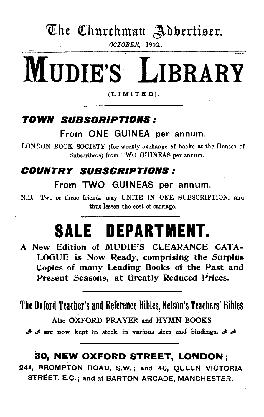## The Churchman Adbertiser.

*OCTOBER*, 1902.

# **MUDIE'S LIBRARY**

(LIMITED),

### **TOWN SUBSCRIPTIONS:**

#### From ONE GUINEA per annum.

LONDON BOOK SOCIETY (for weekly exchange of books at the Houses of Subscribers) from TWO GUINEAS per annum.

### **COUNTRY SUBSCRIPTIONS:**  From TWO GUINEAS per annum.

N.B.-Two or three friends may UNITE IN ONE SUBSCRIPTION, and thus lessen the cost of carriage.

## **SALE DEPARTMENT.**

A New Edition of MUDIE'S CLEARANCE CATA-LOGUE *is* Now Ready, comprising the Surplus Copies of many Leading Books of the Past and Present Seasons, at Greatly Reduced Prices.

The Oxford Teacher's and Reference Bibles, Nelson's Teachers' Bibles Also OXFORD PRAYER and HYMN BOOKS

.\$ .JI. are now kept in stock. in various sizes and bindings. *.;t. .;t.* 

#### **30, NEW OXFORD STREET, LONDON** ;

241, BROMPTON ROAD, S.W.; and 48, QUEEN VICTORIA \$TREET, E.C.; and at BARTON ARCADE, MANCHESTER.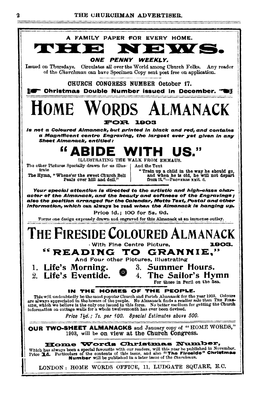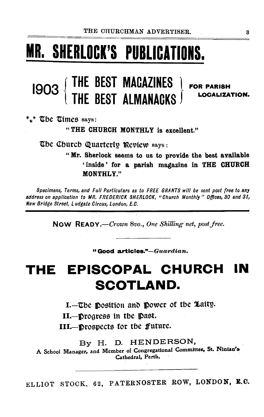## **MR. SHERLOCK'S PUBLICATIONS.**

#### <sup>1903</sup>{ **THE BEST MAGAZINES** I **THE BEST ALMANACKS** f FOR PARISH LOCALIZATION.

 $*_{\ast}*$  The Times says:

"THE CHURCH MONTHLY is excellent."

The Church Quarterly Review says :

"Mr. Sherlock seems to us to provide the best available ' inside ' for a parish magazine in THE CHURCH MONTHLY."

Specimens, Terms, and Full Particulars as to FREE GRANTS *will* be sent post free to any address on application to MR. FREDERICK SHERLOCK, "Church Monthly" Offices, 80 and 81, New Bridge Street, Ludgate Circus, London, E.C.

Now READY.—Crown 8vo., One Shilling net, post free.

"Good articles."-Guardian.

## THE EPISCOPAL CHURCH **SCOTLAND.**

1.-The position and power of the Laity.

11.-JProgress in tbe ]past.

111.-JProspects for tbe jfuture.

By H. D. HENDERSON,

A School Manager, and Member of Congregational Committee. St. Niniao's. Cathedral, Perth.

ELLIOT STOCK, 62, PATERNOSTER ROW, LONDON, E.C.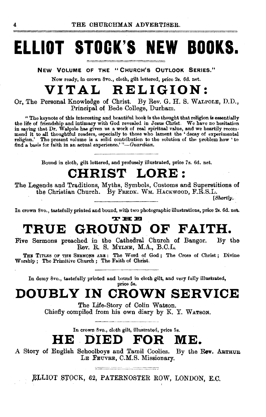## **ELLIOT STOCK'S NEW BOOKS.**

**NEW VOLUME OF THE "CHURCH'S OUTLOOK SERIES."** 

Now ready, in crown Svo., cloth, gilt lettered, price 2s. 6d. net.

### **VITAL RELIGION:**

Or, The Personal Knowledge of Christ. By Rev. G. H. S. WALPOLE, D.D., Principal of Bede College, Durham.

" The keynote of this interesting and beautiful book is the thought that religion is essentially the life of friendship and intimacy with God revealed in Jesus Christ. We have no hesitation<br>in saying that Dr. Walpole has given us a work of real spiritual value, and we heartily recommend it to all thoughtful readers, especially to those who lament the 'decay of experimental religion.' The present volume is a solid contribution to the solution of the problem how 'to 6nd a basis for faith in an actual experience.' *"-Guardian.* 

Bound in cloth, gilt lettered, and profusely illustrated, price 7s. 6d. net.

### **CHRIST LORE** :

The Legends and Traditions, Myths, Symbols, Customs and Superstitions of the Christian Church. By FREnK. WM. HACKWOOD, F.R.S.L.

[Shortly.

In crown Svo., tastefully printed and bound, with two photographic illustrations, price 2s. 6d. net.

### **"X" :a:: ::m TRUE GROUND OF FAITH.**

Five Sermons preached in the Cathedral Church of Bangor. Rev. R. S. MYLNE, M.A., B.C.L. By the

THE TITLES OF THE SERMONS ARE: The Word of God; The Cross of Christ; Divine Worship; The Primitive Church; The Faith of Christ.

In demy 8vo., tastefully printed and bound in cloth gilt, and very fully illustrated, price 6s.

## **DOUBLY IN CROWN SERVICE**

The Life-Story of Colin Watson. Chiefly compiled from his own diary by K. Y. WATSON.

In crown 8vo., cloth gilt, illustrated, price 5s.

## **HE DIED FOR ME.**

A Story of English Schoolboys and Tamil Coolies. By the Rev. ARTHUB. LE FEUVRE, C.M.S. Missionary.

the company of the company of the control of the company of the company of the company of the company of the c<br>All the company of the company of the company of the company of the company of the company of the company of t }l:LLIOT .S'J'OCK, 62, PATERNOSTER ROW, LONDON, E.C.

'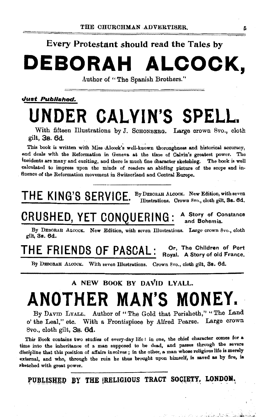#### Every Protestant should read the Tales by

## **DEBORAH ALCOCK,**

Author of "The Spanish Brothers."

#### Just Published.

## **UNDER CALVIN'S SPELL.**

With fifteen Illustrations by J. SCHONBERG. Large crown 8vo., cloth gilt, 3s. 6d

This book is written with Miss Alcock's well-known thoroughness and historical accuracy, and deals with the Reformation in Geneva at the time of Calvin's greatest power. The incidents are many and exciting, and there is much fine c'haracter sketching. The book is well calculated to impress upon the minds of readers an abiding picture of the scope and in· fluence of the Reformation movement in Switzerland and Central Europe.

THE KING'S SERVICE. By DEBORAH ALCOCK. New Edition, with seven  $H = K \cup S$  Server  $S$  . Thustrations. Crown 8vo., cloth gilt, 3s. 6d.

atter en car modificación de Paulo

CRUSHED, YET CONOUERING: A Story of Constance and Bohemia.

By DEBORAH ALCOCK. New Edition, with seven Illustrations. Large crown 8vo., cloth gilt, 3s. 6d.

THE FRIENDS OF PASCAL: Or, The Children of Port Royal. A Story of old France.

By DEBORAH ALCOOK. With seven Illustrations. Crown 8vo., cloth gilt, 3s. 6d.

#### A NEW BOOK BY DAVID LYALL.

## **ANOTHER MAN'S MONEY.**

By DAVID LYALL. Author of "The Gold that Perisheth," "The Land o' the Leal," etc. With a. Frontispiece by Alfred Pearse. Large crown  $8v_0$ , cloth gilt,  $3s. 6d.$ 

This Book contains two studies of every·day life : in one, the chief character comes for a time into the inheritance of a man supposed to be dead, and passes through the severe discipline that this position of affairs involves; in the other, a man whose religious life is merely external, and who, through the ruin he thus brought upon himself, is saved as by fire, is sketched with great power.

PUBLISHED BY THE {RELIGIOUS TRACT SOCIETY, LONDON.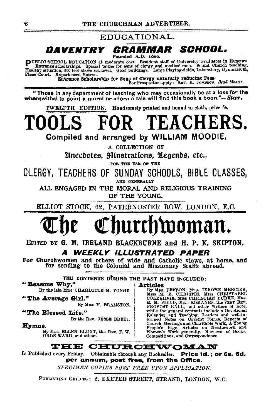EDUCATIONAL. DAVENTRY GRAMMAR SCHOOL.

Founded A.D. 1600.

PUBLIC SCHOOL EDUCATION at moderate cost. Resident staff of University Graduates in Honours<br>Eulenace scholarships. Special terms for some of clergy and medical men. Sound Church teaching,<br>Healthy situation, 800 feet above

Entrance Scholarship for Sons of Clergy naturally reducing Fees-<br>For Prospectus apply: REV. H. JORNSON, Head Master.

"Those in any department of teaching who may occasionally be at a loss for the wherewithal to point a moral or adorn a tale will find this book a boon."—Star.

TWELFTH EDITION. Handsomely printed and bound in cloth, price 5s.

FOR TEACHERS. TOOL

Compiled and arranged by WILLIAM MOODIE.

A COLLECTION OF

**Anecootes, Hustrations, Legenos, etc.,** 

FOR THE USE OF THE

CLERGY. TEACHERS OF SUNDAY SCHOOLS, BIBLE CLASSES. AND GENERALLY

ALL ENGAGED IN THE MORAL AND RELIGIOUS TRAINING OF THE YOUNG.

ELLIOT STOCK, 62, PATERNOSTER ROW, LONDON, E.C.

## Churchwoman.

EDITED BY G. M. IRELAND BLACKBURNE and H. P. K. SKIPTON. **WEEKLY ILLUSTRATED PAPER** 

For Churchwomen and others of wide and Catholic views, at home, and for sending to the Colonial and Missionary Staffs abroad.

THE CONTENTS DURING THE PAST HAVE INCLUDED:

" Reasons Why." **Articles** 

By the late Miss CHARLOTTE M. YONGE.

"The Average Girl."

By MISS M. BRAMSTON.

"The Blessed Life."

By the REV. JESSE BRETT.

Hymns.

By MISS ELLEN BLUNT, the REV. F. W. ORDE-WARD, and others.

rticles<br>
By MER. BENSON, MRs. JEROME MERCIER,<br>
By MER. E. CHEISTIE, MISS CHRISTABEL<br>
COLERIDGE, MISS CHRISTIAN BURKE, MRS.<br>
E. M. FIELD, MRS. ROMANES, the VERY REV.<br>
PROVOST BALL, and other Writers of note,<br>
while the gene

**THE CHURCHWOMAN** 

Is Published every Friday. Obtainable through any Bookseller. Price 1d.; or 6s. 6d. per annum, post free, from the Office.

SPECIMEN COPIES POST FREE UPON APPLICATION.

PUBLISHING OPFICES: 2, EXETER STREET, STRAND, LONDON, W.C.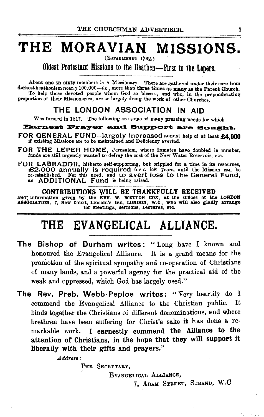## **THE MORAVIAN MISSIONS.**

(EsTABLISHED 1732.)

Oldest Protestant Missions to the Heathen-First to the Lepers.

About one in sixty members is a Missionary. There are gathered under their care from darkest heathenism nearly 100,000-i.e., more than three times as many as the Parent Church. To help those devoted people whom God so blesses, and who, in the preponderating proportion of their Missionaries, are so largely doing the work of other Churches.

#### THE LONDON ASSOCIATION IN AID

Was formed in 1817. The following are some of many pressing needs for which

#### Barnest Prayer and Support are Sought.

FOR GENERAL FUND-largely increased annual help of at least £4,000 if existing Missions are to be maintained and Deficiency averted.

FOR THE LEPER HOME, Jerusalem, where Inmates have doubled in number, funds are still urgently wanted to defray the cost of the New Water Reservoir, etc.

FOR LABRADOR, hitherto self-supporting, but crippled for a time in its resources, £2.000 annually is required for a few years, until the Mission can be re-established. For this need, and to avert loss to the General Fund, an ADDITIONAL Fund is being raised.

CONTRIBUTIONS WILL BE THANKFULLY RECEIVED<br>and<sup>•</sup> information given by the REV. W. WETTON COX, at the Offices of the LONDON<br>ASSOCIATION, 7, New Court, Lincoln's Inn, LONDON, W.C., who will also gladly arrange for Meettngs, Sermons, Lectures, etc.

### **THE EVANGELICAL ALLIANCE.**

- The Bishop of Durham writes: "Long have I known and honoured the Evangelical Alliance. It is a grand means for the promotion of the spiritual sympathy and co-operation of Christians of many lands, and a powerful agency for the practical aid of the weak and oppressed, which God has largely used."
- The Rev. Preb. Webb-Peploe writes: "Very heartily do I commend the Evangelical Alliance to the Christian public. It binds together the Christians of different denominations, and where brethren have been suffering for Christ's sake it has done a remarkable work. I earnestly commend the Alliance to the attention of Christians, in the hope that they will support it liberally with their gifts and prayers."

*Address:* 

THE SECRETARY,

EvANGELICAL ALLIANCE,

7, ADAM STREET, STRAND, w.c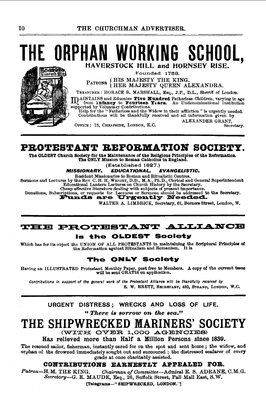### THE ORPHAN WORKING SCHOOL. HAVERSTOCK HILL and HORNSEY RISE.

Founded 1788.

(HIS MAJESTY THE KING.<br>(HER MAJESTY QUEEN ALEXANDRA. PATRONS

TREASURER: HORACE B. MARSHALL, Esq., J.P., D.L., Sheriff of London.

meaning and Educates Five Hundred Fatheriess Children, varying in age III from **infancy** to **Fourteen Years.** An Undenominational Institution supported by Voluntary Contributions.

Help for the "Fatherless and the Widow in their affliction" is urgently needed. Contributious will be thankfully received and all information given by ALEXANDER GRANT.

Secretary.

OFFICE: 73. CHEAPSIDE, LONDON, E.C.

PROTESTANT REFORMATION SOCIETY.

The OLDEST Church Society for the Maintenance of the Religious Principles of the Reformation. The ONLY Mission to Roman Catholics in England.

(Established 1827.)

#### **MISSIONARY. EDUCATIONAL. EVANGELISTIC.**

Resident Missionaries to Roman and Ritualistic Centres. Sermons and Lectures by the Rev. C. H. H. WRIGHT, D.D., M.A., Ph.D., Clerical and General Superintendent<br>Educational Lantern Lectures on Church History by the Secretary.

Chesp effective literature dealing with subjects of present importance.<br>Donations, Subscriptions, or requests for Lectures or Sermons should be addressed to the Secretary.<br> **Funds are Urgently Needed.** 

WALTER A. LIMBRICK, Secretary, 62, Berners Street, London, W.

#### THE PROTESTANT ALLIANCE Is the OLDEST Society

Which has for its object the UNION OF ALL PROTESTANTS in maintaining the Scriptural Principles of the Reformation against Ritualism and Romanism. It is

#### The ONLY Society

Having an ILLUSTRATED Protestant Monthly Paper, post free to Members. A copy of the current issue will be sent GRATIS on application.

Contributions in support of the general work of the Protestant Alliance will be thankfully received by S. W. BRETT, SECRETARY, 430, STRAND, LONDON, W.C.

URGENT DISTRESS: WRECKS AND LOSS OF LIFE. "There is sorrow on the sea."

#### THE SHIPWRECKED MARINERS' **SOCIETY**

(WITH OVER 1,000 AGENCIES)

Has relieved more than Half a Million Persons since 1839.

The rescued sailor, fisherman, instantly cared for on the spot and sent home; the widow, and orphan of the drowned immediately sought out and succoured; the distressed seafarer of every grade at once charitably assisted.

#### CONTRIBUTIONS EARNESTLY APPEALED FOR.

Patron-H.M. THE KING. Chairman of Committee-Admiral E. S. ADEANE, C.M.G. Secretary-G. E. MAUDE, Esq., 26, Suffolk Street, Pall Mall East, S.W.

[Telegrams-"SHIPWRECKED, LONDON."]

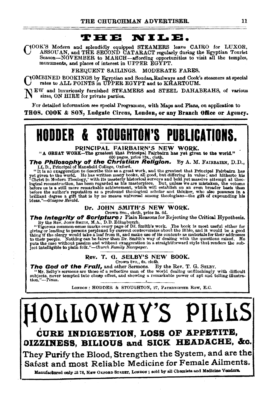#### **THE.**

COOK'S Modern and splendidly equipped STEAMERS leave CAIRO for LUXOR,<br>
ASSOUAN, and THE SECOND CATARACT regularly during the Egyptian Tourist Season-NOVEMBER to MARCH-affording opportunities to visit all the temples, monuments, and places of interest in UPPER EGYPT.

FREQUENT SAILINGS. MODERATE FARES.

YOMBINED BOOKINGS by Egyptian and Soudan.Railways and Cook's steamers at special rates to ALL POINTS in UPPER EGYPT and to KHARTOUM.

NEW and luxuriously furnished STEAMERS and STEEL DAHABEAHS, of various sizes, ON HIRE for private parties.

For detailed information see special Programme, with Maps and Plans, on application to THOS. COOK & SON, Ludgate Circus, London, or any Branch Office or Agency.

**HODDER & STOUGHTON'S PUBLICATIONS.** 

PRINCIPAL FAIRBAIRN'S NEW WORK.

"A GREAT WORK-The greatest that Principal Patriarm has yet given to the world."<br>  $\frac{600 \text{ pages, price 12s}}{100 \text{ pages, price 12s}}$ , cloth.<br>  $\frac{600 \text{ pages}}{100 \text{ years}}$ , By A. M. FAIRBAIRN, D.D.,

LL D., Principal of Mansfield College, Oxford.<br>"It is no exaggeration to describe this as a great work, and the greatest that Principal Fairbairn has yet given to the world. He has written many books, all good, but differing in value; and hitherto his 'Christ in Modern Theology, with its masterly historical surveys and bold yet master algorithm locked in locked in the c ideas."-Glasgow Herald.

#### Dr. JOHN SMITH'S NEW WORK. Crown Svo., cloth, price Ss. 6d.

The Integrity of Scripture: Plain Reasons for Rejecting the Critical Hypothesis.

By the Rev. Journ SMITH, M.A., D.D. Edingburgh.<br>"Vigorous common-sense marks every page of Dr. Smith's work. The book is most useful either for<br>"Yigorous common-sense perplexed by current controversies about the Bible, and thing if the clergy would take a leaf from it, and make use of its content« as materials for their addresses to their people. Nothing can be fairer than Dr. Smith's way of dealing with the questions raised. He puts the case without passion and without exaggeration in a straightforward style that renders the sub-<br>ject intelligible to plain folk."—Church *Fasnily Newspaper*.

#### Rev. T. G. SELBY'S NEW BOOK. Crown Svo., 6s. cloth.

The God of the Frall, and other Sermons. By the Rev. T. G. SELBY.

"Mr. Selby's sermons are those of a reflective man of the world dealing unflinchingly with difficult subjects, never tempted into cheap effect, and showing the markable power of apt and telling illustration."--Times.

LONDON: HODDER & STOUGHTON, 27, PATERNOSTER ROW, E.C.

# OLLOWAY'S PILLS

CURE INDIGESTION, LOSS OF APPETITE, OIZZINESS, BILIOUS and SICK HEADACHE, &c.

They Purify the Blood, Strengthen the System, and are the Safest and most Reliable Medicine for Female Ailments.

Manufactured only at 78, NEW OXFORD STREET, LONDON; sold by all Chemists and Medicine Vendors.